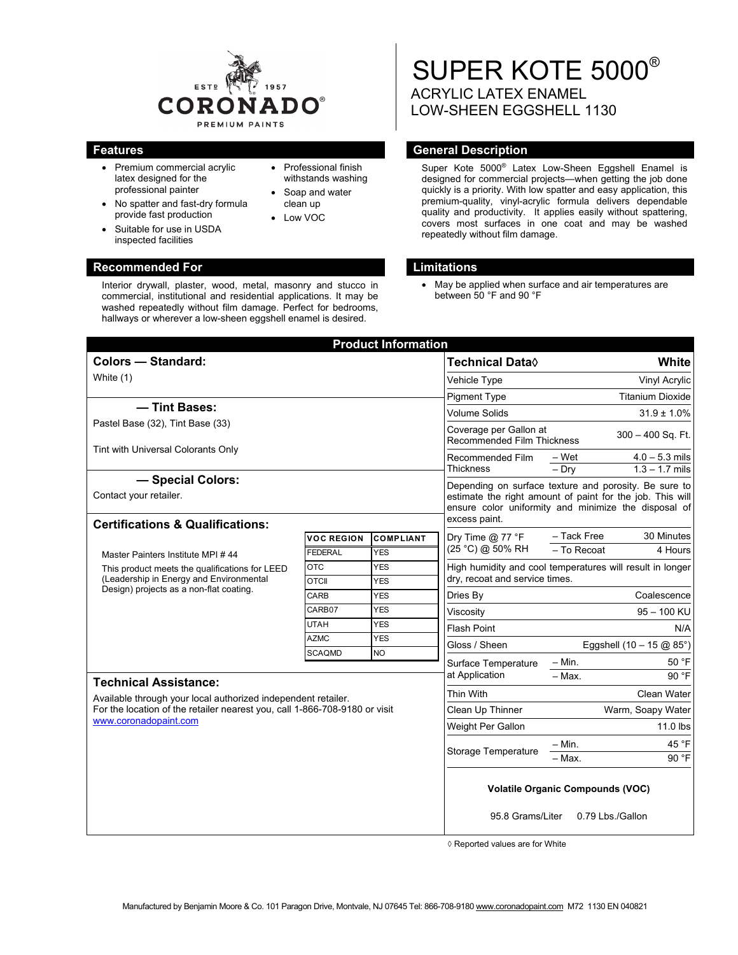

• Professional finish withstands washing • Soap and water clean up Low VOC

- Premium commercial acrylic latex designed for the professional painter
- No spatter and fast-dry formula provide fast production
- Suitable for use in USDA inspected facilities

**Recommended For Limitations 3 Accommended For Limitations** Interior drywall, plaster, wood, metal, masonry and stucco in commercial, institutional and residential applications. It may be washed repeatedly without film damage. Perfect for bedrooms, hallways or wherever a low-sheen eggshell enamel is desired.

# SUPER KOTE 5000® ACRYLIC LATEX ENAMEL LOW-SHEEN EGGSHELL 1130

# **Features General Description Ceneral Description**

Super Kote 5000® Latex Low-Sheen Eggshell Enamel is designed for commercial projects—when getting the job done quickly is a priority. With low spatter and easy application, this premium-quality, vinyl-acrylic formula delivers dependable quality and productivity. It applies easily without spattering, covers most surfaces in one coat and may be washed repeatedly without film damage.

 May be applied when surface and air temperatures are between 50 °F and 90 °F

| <b>Product Information</b>                                                                                                                                           |                                         |                          |                                                                                                                                                                                             |                                                           |                                      |
|----------------------------------------------------------------------------------------------------------------------------------------------------------------------|-----------------------------------------|--------------------------|---------------------------------------------------------------------------------------------------------------------------------------------------------------------------------------------|-----------------------------------------------------------|--------------------------------------|
| <b>Colors - Standard:</b>                                                                                                                                            |                                         |                          | <b>Technical Data</b> ♦                                                                                                                                                                     |                                                           | White                                |
| White (1)                                                                                                                                                            |                                         |                          | Vehicle Type                                                                                                                                                                                | Vinyl Acrylic                                             |                                      |
|                                                                                                                                                                      |                                         |                          | <b>Pigment Type</b>                                                                                                                                                                         |                                                           | <b>Titanium Dioxide</b>              |
| - Tint Bases:                                                                                                                                                        |                                         |                          | <b>Volume Solids</b>                                                                                                                                                                        |                                                           | $31.9 \pm 1.0\%$                     |
| Pastel Base (32), Tint Base (33)                                                                                                                                     |                                         |                          | Coverage per Gallon at<br>$300 - 400$ Sq. Ft.<br><b>Recommended Film Thickness</b>                                                                                                          |                                                           |                                      |
| Tint with Universal Colorants Only                                                                                                                                   |                                         |                          | Recommended Film<br><b>Thickness</b>                                                                                                                                                        | – Wet<br>$-$ Drv                                          | $4.0 - 5.3$ mils<br>$1.3 - 1.7$ mils |
| - Special Colors:                                                                                                                                                    |                                         |                          | Depending on surface texture and porosity. Be sure to<br>estimate the right amount of paint for the job. This will<br>ensure color uniformity and minimize the disposal of<br>excess paint. |                                                           |                                      |
| Contact your retailer.                                                                                                                                               |                                         |                          |                                                                                                                                                                                             |                                                           |                                      |
| <b>Certifications &amp; Qualifications:</b>                                                                                                                          |                                         |                          |                                                                                                                                                                                             |                                                           |                                      |
|                                                                                                                                                                      | <b>VOC REGION</b>                       | <b>COMPLIANT</b>         | Dry Time $@$ 77 °F<br>(25 °C) @ 50% RH                                                                                                                                                      | - Tack Free<br>- To Recoat                                | 30 Minutes<br>4 Hours                |
| Master Painters Institute MPI #44                                                                                                                                    | <b>FEDERAL</b>                          | <b>YES</b>               |                                                                                                                                                                                             |                                                           |                                      |
| This product meets the qualifications for LEED<br>(Leadership in Energy and Environmental<br>Design) projects as a non-flat coating.                                 | <b>OTC</b><br><b>OTCII</b>              | <b>YES</b><br><b>YES</b> | dry, recoat and service times.                                                                                                                                                              | High humidity and cool temperatures will result in longer |                                      |
|                                                                                                                                                                      | CARB                                    | <b>YES</b>               | Dries By                                                                                                                                                                                    |                                                           | Coalescence                          |
|                                                                                                                                                                      | CARB07                                  | <b>YES</b>               | Viscosity                                                                                                                                                                                   |                                                           | 95 - 100 KU                          |
|                                                                                                                                                                      | <b>UTAH</b>                             | <b>YES</b>               | <b>Flash Point</b>                                                                                                                                                                          |                                                           | N/A                                  |
|                                                                                                                                                                      | <b>AZMC</b>                             | <b>YES</b>               | Gloss / Sheen                                                                                                                                                                               | Eggshell $(10 - 15 \text{ @ } 85^{\circ})$                |                                      |
|                                                                                                                                                                      | <b>SCAQMD</b>                           | <b>NO</b>                |                                                                                                                                                                                             | $-$ Min.                                                  | 50 °F                                |
|                                                                                                                                                                      |                                         |                          | Surface Temperature<br>at Application                                                                                                                                                       | $-$ Max.                                                  | 90 °F                                |
| <b>Technical Assistance:</b>                                                                                                                                         |                                         |                          | <b>Thin With</b>                                                                                                                                                                            |                                                           | Clean Water                          |
| Available through your local authorized independent retailer.<br>For the location of the retailer nearest you, call 1-866-708-9180 or visit<br>www.coronadopaint.com |                                         |                          | Clean Up Thinner                                                                                                                                                                            |                                                           | Warm, Soapy Water                    |
|                                                                                                                                                                      |                                         |                          | Weight Per Gallon                                                                                                                                                                           |                                                           | $11.0$ lbs                           |
|                                                                                                                                                                      |                                         |                          | <b>Storage Temperature</b>                                                                                                                                                                  |                                                           |                                      |
|                                                                                                                                                                      |                                         |                          |                                                                                                                                                                                             | $-$ Min.<br>– Max.                                        | 45 °F<br>90 °F                       |
|                                                                                                                                                                      | <b>Volatile Organic Compounds (VOC)</b> |                          |                                                                                                                                                                                             |                                                           |                                      |
|                                                                                                                                                                      | 95.8 Grams/Liter<br>0.79 Lbs./Gallon    |                          |                                                                                                                                                                                             |                                                           |                                      |

◊ Reported values are for White